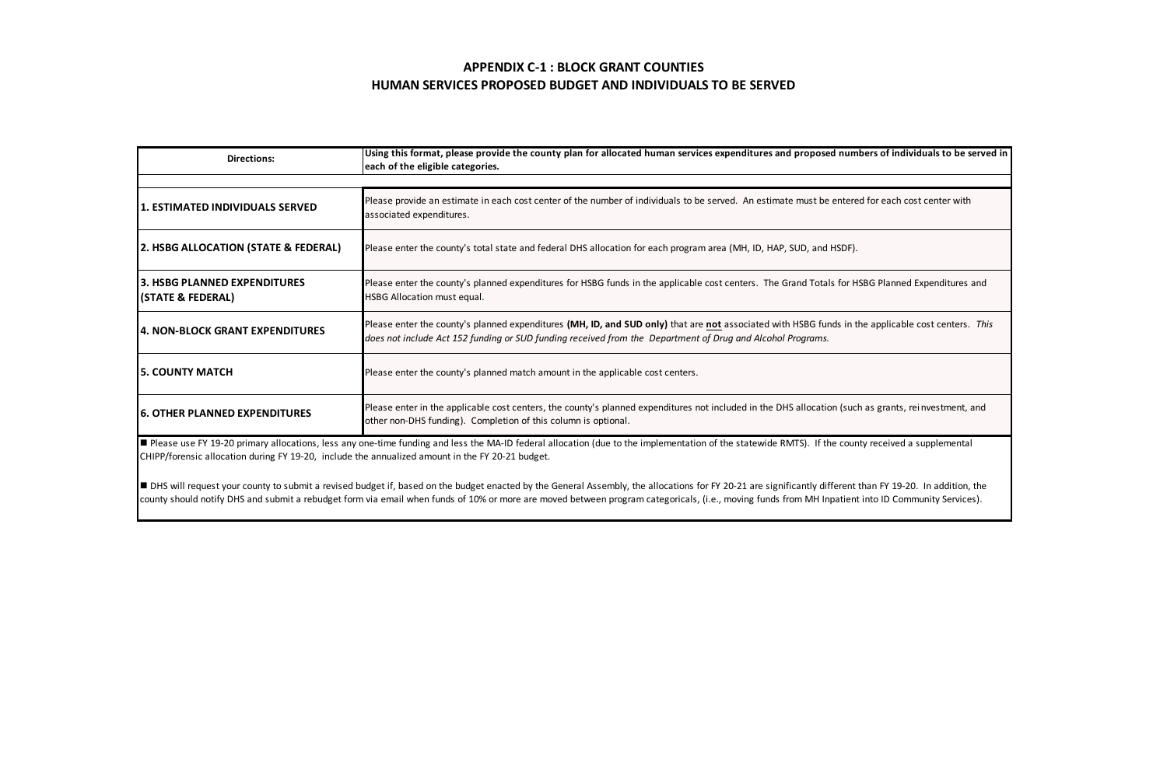| <b>Directions:</b>                                                                               | Using this format, please provide the county plan for allocated human services expenditures and proposed numbers of individuals to be served in<br>each of the eligible categories.                                                                                                                                                                                                                             |
|--------------------------------------------------------------------------------------------------|-----------------------------------------------------------------------------------------------------------------------------------------------------------------------------------------------------------------------------------------------------------------------------------------------------------------------------------------------------------------------------------------------------------------|
|                                                                                                  |                                                                                                                                                                                                                                                                                                                                                                                                                 |
| 1. ESTIMATED INDIVIDUALS SERVED                                                                  | Please provide an estimate in each cost center of the number of individuals to be served. An estimate must be entered for each cost center with<br>associated expenditures.                                                                                                                                                                                                                                     |
| 2. HSBG ALLOCATION (STATE & FEDERAL)                                                             | Please enter the county's total state and federal DHS allocation for each program area (MH, ID, HAP, SUD, and HSDF),                                                                                                                                                                                                                                                                                            |
| 3. HSBG PLANNED EXPENDITURES<br>(STATE & FEDERAL)                                                | Please enter the county's planned expenditures for HSBG funds in the applicable cost centers. The Grand Totals for HSBG Planned Expenditures and<br>HSBG Allocation must equal.                                                                                                                                                                                                                                 |
| 4. NON-BLOCK GRANT EXPENDITURES                                                                  | Please enter the county's planned expenditures (MH, ID, and SUD only) that are not associated with HSBG funds in the applicable cost centers. This<br>does not include Act 152 funding or SUD funding received from the Department of Drug and Alcohol Programs.                                                                                                                                                |
| <b>5. COUNTY MATCH</b>                                                                           | Please enter the county's planned match amount in the applicable cost centers.                                                                                                                                                                                                                                                                                                                                  |
| <b>6. OTHER PLANNED EXPENDITURES</b>                                                             | Please enter in the applicable cost centers, the county's planned expenditures not included in the DHS allocation (such as grants, reinvestment, and<br>other non-DHS funding). Completion of this column is optional.                                                                                                                                                                                          |
| CHIPP/forensic allocation during FY 19-20, include the annualized amount in the FY 20-21 budget. | Please use FY 19-20 primary allocations, less any one-time funding and less the MA-ID federal allocation (due to the implementation of the statewide RMTS). If the county received a supplemental                                                                                                                                                                                                               |
|                                                                                                  | DHS will request your county to submit a revised budget if, based on the budget enacted by the General Assembly, the allocations for FY 20-21 are significantly different than FY 19-20. In addition, the<br>county should notify DHS and submit a rebudget form via email when funds of 10% or more are moved between program categoricals, (i.e., moving funds from MH Inpatient into ID Community Services). |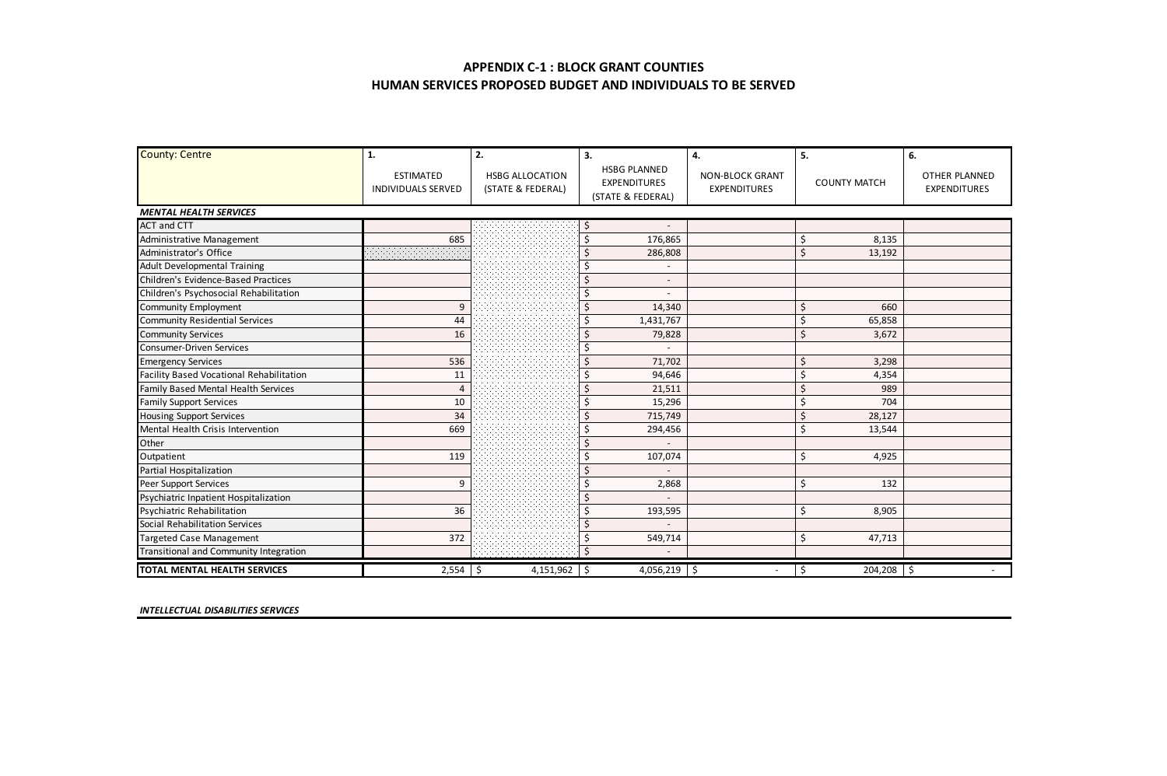| County: Centre                                  | 1.                                            | 2.                                          | 3.                                                              | 4.                                     | 5.             | 6.                                   |
|-------------------------------------------------|-----------------------------------------------|---------------------------------------------|-----------------------------------------------------------------|----------------------------------------|----------------|--------------------------------------|
|                                                 | <b>FSTIMATED</b><br><b>INDIVIDUALS SERVED</b> | <b>HSBG ALLOCATION</b><br>(STATE & FEDERAL) | <b>HSRG PLANNED</b><br><b>EXPENDITURES</b><br>(STATE & FEDERAL) | NON-BLOCK GRANT<br><b>EXPENDITURES</b> | COUNTY MATCH   | OTHER PLANNED<br><b>EXPENDITURES</b> |
| <b>MENTAL HEALTH SERVICES</b>                   |                                               |                                             |                                                                 |                                        |                |                                      |
| <b>ACT and CTT</b>                              |                                               |                                             | Ś                                                               |                                        |                |                                      |
| Administrative Management                       | 685                                           |                                             | 176.865<br>¢                                                    |                                        | 8.135<br>Ś     |                                      |
| Administrator's Office                          |                                               |                                             | 286,808                                                         |                                        | ¢<br>13.192    |                                      |
| <b>Adult Developmental Training</b>             |                                               |                                             |                                                                 |                                        |                |                                      |
| Children's Evidence-Based Practices             |                                               |                                             | $\overline{\phantom{a}}$                                        |                                        |                |                                      |
| Children's Psychosocial Rehabilitation          |                                               |                                             |                                                                 |                                        |                |                                      |
| <b>Community Employment</b>                     | $\mathbf{Q}$                                  |                                             | 14.340<br>$\hat{\varsigma}$                                     |                                        | 660<br>۹       |                                      |
| <b>Community Residential Services</b>           | 44                                            |                                             | 1,431,767                                                       |                                        | Ś<br>65.858    |                                      |
| <b>Community Services</b>                       | 16                                            |                                             | 79,828                                                          |                                        | ¢<br>3.672     |                                      |
| <b>Consumer-Driven Services</b>                 |                                               |                                             | Ś                                                               |                                        |                |                                      |
| <b>Emergency Services</b>                       | 536                                           |                                             | 71.702<br>۹                                                     |                                        | 3.298<br>۹     |                                      |
| <b>Facility Based Vocational Rehabilitation</b> | 11                                            |                                             | 94.646                                                          |                                        | Ś<br>4.354     |                                      |
| Family Based Mental Health Services             | $\overline{a}$                                |                                             | 21,511                                                          |                                        | 989            |                                      |
| <b>Family Support Services</b>                  | 10                                            |                                             | 15,296                                                          |                                        | \$<br>704      |                                      |
| <b>Housing Support Services</b>                 | 34                                            |                                             | 715,749<br>$\hat{\varsigma}$                                    |                                        | 28.127<br>Ś    |                                      |
| Mental Health Crisis Intervention               | 669                                           |                                             | 294,456<br>Ś                                                    |                                        | 13,544<br>Ś    |                                      |
| Other                                           |                                               |                                             |                                                                 |                                        |                |                                      |
| Outpatient                                      | 119                                           |                                             | 107,074                                                         |                                        | 4.925<br>Ś     |                                      |
| Partial Hospitalization                         |                                               |                                             | ٠                                                               |                                        |                |                                      |
| Peer Support Services                           | ۹                                             |                                             | Ś<br>2,868                                                      |                                        | \$<br>132      |                                      |
| Psychiatric Inpatient Hospitalization           |                                               |                                             | Ś                                                               |                                        |                |                                      |
| <b>Psychiatric Rehabilitation</b>               | 36                                            |                                             | 193,595<br>۹                                                    |                                        | Ś<br>8.905     |                                      |
| Social Rehabilitation Services                  |                                               |                                             |                                                                 |                                        |                |                                      |
| <b>Targeted Case Management</b>                 | 372                                           |                                             | 549,714                                                         |                                        | Ś<br>47.713    |                                      |
| Transitional and Community Integration          |                                               |                                             | $\hat{\varsigma}$                                               |                                        |                |                                      |
| TOTAL MENTAL HEALTH SERVICES                    | $2,554$ \$                                    | $4.151.962$ S                               | 4,056,219 \$                                                    |                                        | 204,208 S<br>Ś |                                      |

*INTELLECTUAL DISABILITIES SERVICES*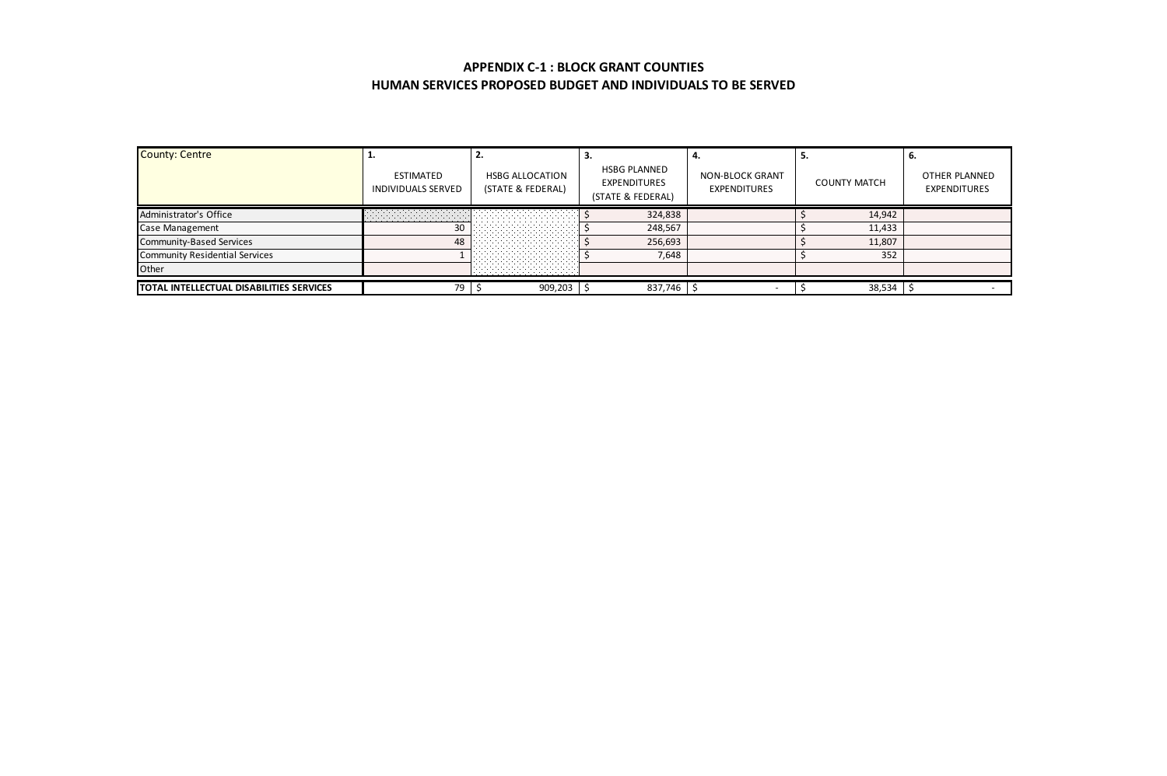| <b>County: Centre</b>                    | <b>ESTIMATED</b><br>INDIVIDUALS SERVED | <b>HSBG ALLOCATION</b><br>(STATE & FEDERAL) | <b>HSBG PLANNED</b><br><b>EXPENDITURES</b><br>(STATE & FEDERAL) | NON-BLOCK GRANT<br><b>EXPENDITURES</b> | <b>COUNTY MATCH</b> | OTHER PLANNED<br><b>EXPENDITURES</b> |
|------------------------------------------|----------------------------------------|---------------------------------------------|-----------------------------------------------------------------|----------------------------------------|---------------------|--------------------------------------|
| Administrator's Office                   |                                        |                                             | 324.838                                                         |                                        | 14.942              |                                      |
| Case Management                          | 30                                     |                                             | 248.567                                                         |                                        | 11.433              |                                      |
| Community-Based Services                 | 48                                     |                                             | 256.693                                                         |                                        | 11.807              |                                      |
| <b>Community Residential Services</b>    |                                        |                                             | 7.648                                                           |                                        | 352                 |                                      |
| Other                                    |                                        | .                                           |                                                                 |                                        |                     |                                      |
| TOTAL INTELLECTUAL DISABILITIES SERVICES | 79                                     | 909.203                                     | 837,746                                                         |                                        | 38.534              |                                      |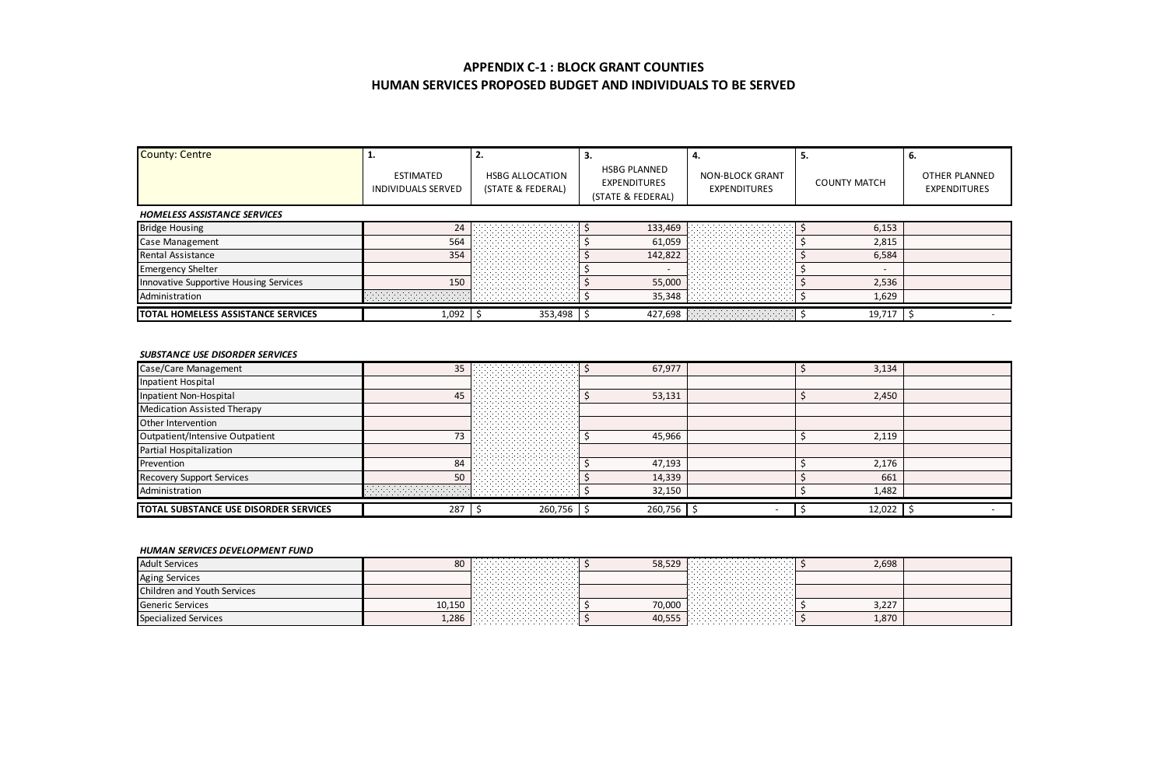| <b>County: Centre</b>                  | ESTIMATED<br>INDIVIDUALS SERVED | <b>HSBG ALLOCATION</b><br>(STATE & FEDERAL) | <b>HSBG PLANNED</b><br><b>EXPENDITURES</b><br>(STATE & FEDERAL) | NON-BLOCK GRANT<br><b>EXPENDITURES</b> | <b>COUNTY MATCH</b> | ъ.<br>OTHER PLANNED<br><b>EXPENDITURES</b> |
|----------------------------------------|---------------------------------|---------------------------------------------|-----------------------------------------------------------------|----------------------------------------|---------------------|--------------------------------------------|
| HOMELESS ASSISTANCE SERVICES           |                                 |                                             |                                                                 |                                        |                     |                                            |
| <b>Bridge Housing</b>                  |                                 |                                             | 133.469                                                         |                                        | 6.153               |                                            |
| Case Management                        | 564                             |                                             | 61.059                                                          |                                        | 2.815               |                                            |
| Rental Assistance                      | 354                             |                                             | 142.822                                                         |                                        | 6,584               |                                            |
| <b>Emergency Shelter</b>               |                                 |                                             |                                                                 |                                        |                     |                                            |
| Innovative Supportive Housing Services | 150                             |                                             | 55.00                                                           |                                        | 2.536               |                                            |
| Administration                         |                                 |                                             | 35.348                                                          |                                        | 1.629               |                                            |
| TOTAL HOMELESS ASSISTANCE SERVICES     | 1.092                           | 353,498 \$                                  | 427.698                                                         |                                        | 19.717              |                                            |

#### *SUBSTANCE USE DISORDER SERVICES*

| Case/Care Management                  | 35  |                      | 67,977  | 3,134  |  |
|---------------------------------------|-----|----------------------|---------|--------|--|
| Inpatient Hospital                    |     | $\sim$ $\sim$ $\sim$ |         |        |  |
| Inpatient Non-Hospital                | 4٩  |                      | 53.131  | 2.450  |  |
| Medication Assisted Therapy           |     |                      |         |        |  |
| Other Intervention                    |     |                      |         |        |  |
| Outpatient/Intensive Outpatient       |     |                      | 45.966  | 2.119  |  |
| Partial Hospitalization               |     |                      |         |        |  |
| Prevention                            | 84  |                      | 47.193  | 2.176  |  |
| Recovery Support Services             | 50  |                      | 14.339  | 661    |  |
| Administration                        |     |                      | 32.150  | 1.482  |  |
| TOTAL SUBSTANCE USE DISORDER SERVICES | 287 | 260,756 S            | 260.756 | 12.022 |  |

#### *HUMAN SERVICES DEVELOPMENT FUND*

| <b>Adult Services</b>              | οU  | .<br>. 1<br>. 1<br>.    | . 1<br>.<br>. 1<br>.                        | 2.698 |  |
|------------------------------------|-----|-------------------------|---------------------------------------------|-------|--|
| <b>Aging Services</b>              |     | .<br>.<br>.<br>.<br>.   | .<br>.<br>.<br>.<br>.                       |       |  |
| <b>Children and Youth Services</b> |     | .<br>.<br>.<br>.        | .<br>.<br>.<br>.                            |       |  |
| <b>Generic Services</b>            |     | .<br>. 1<br>. 1<br>.    | .<br>to ooo kuuluumista maanda ka<br>.<br>. | 3.227 |  |
| <b>Specialized Services</b>        | 286 | .<br>. 11 .<br>. 1<br>. | .<br>. 1<br>.<br>. 1<br>.                   | 1,870 |  |